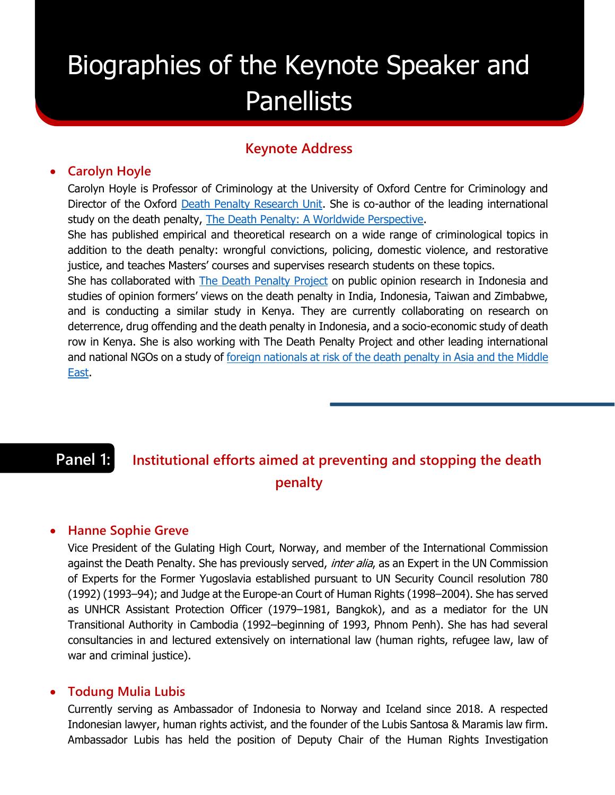# Biographies of the Keynote Speaker and **Panellists**

### **Keynote Address**

#### **Carolyn Hoyle**

Carolyn Hoyle is Professor of Criminology at the University of Oxford Centre for Criminology and Director of the Oxford [Death Penalty Research Unit.](https://www.law.ox.ac.uk/research-and-subject-groups/death-penalty-research-unit) She is co-author of the leading international study on the death penalty, [The Death Penalty: A Worldwide Perspective.](https://www.law.ox.ac.uk/research-and-subject-groups/death-penalty-research-unit/international-survey-death-penalty)

She has published empirical and theoretical research on a wide range of criminological topics in addition to the death penalty: wrongful convictions, policing, domestic violence, and restorative justice, and teaches Masters' courses and supervises research students on these topics.

She has collaborated with [The Death Penalty Project](https://www.deathpenaltyproject.org/) on public opinion research in Indonesia and studies of opinion formers' views on the death penalty in India, Indonesia, Taiwan and Zimbabwe, and is conducting a similar study in Kenya. They are currently collaborating on research on deterrence, drug offending and the death penalty in Indonesia, and a socio-economic study of death row in Kenya. She is also working with The Death Penalty Project and other leading international and national NGOs on a study of foreign nationals at risk of the death penalty in Asia and the Middle [East.](https://www.law.ox.ac.uk/research-and-subject-groups/death-penalty-research-unit/mapping-death-row)

# **Panel 1: Institutional efforts aimed at preventing and stopping the death penalty**

#### **Hanne Sophie Greve**

Vice President of the Gulating High Court, Norway, and member of the International Commission against the Death Penalty. She has previously served, *inter alia*, as an Expert in the UN Commission of Experts for the Former Yugoslavia established pursuant to UN Security Council resolution 780 (1992) (1993–94); and Judge at the Europe-an Court of Human Rights (1998–2004). She has served as UNHCR Assistant Protection Officer (1979–1981, Bangkok), and as a mediator for the UN Transitional Authority in Cambodia (1992–beginning of 1993, Phnom Penh). She has had several consultancies in and lectured extensively on international law (human rights, refugee law, law of war and criminal justice).

#### **Todung Mulia Lubis**

Currently serving as Ambassador of Indonesia to Norway and Iceland since 2018. A respected Indonesian lawyer, human rights activist, and the founder of the Lubis Santosa & Maramis law firm. Ambassador Lubis has held the position of Deputy Chair of the Human Rights Investigation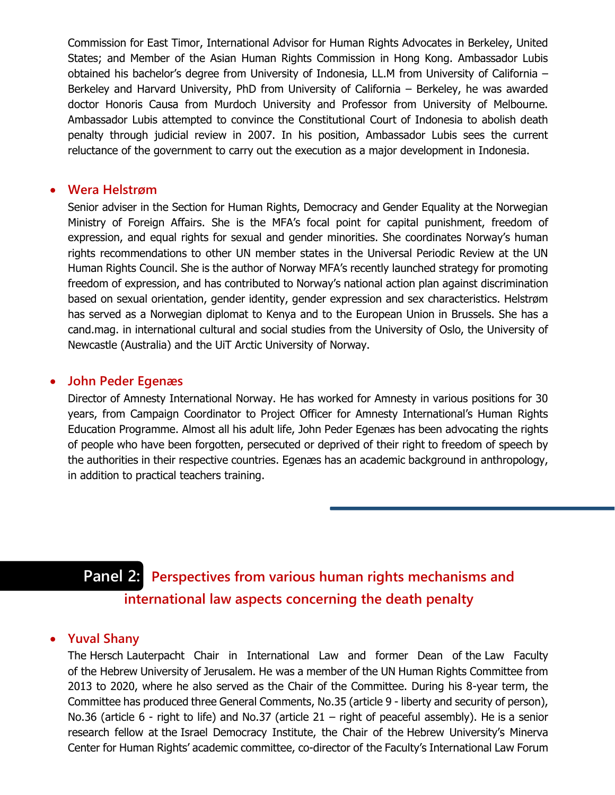Commission for East Timor, International Advisor for Human Rights Advocates in Berkeley, United States; and Member of the Asian Human Rights Commission in Hong Kong. Ambassador Lubis obtained his bachelor's degree from University of Indonesia, LL.M from University of California – Berkeley and Harvard University, PhD from University of California – Berkeley, he was awarded doctor Honoris Causa from Murdoch University and Professor from University of Melbourne. Ambassador Lubis attempted to convince the Constitutional Court of Indonesia to abolish death penalty through judicial review in 2007. In his position, Ambassador Lubis sees the current reluctance of the government to carry out the execution as a major development in Indonesia.

#### **Wera Helstrøm**

Senior adviser in the Section for Human Rights, Democracy and Gender Equality at the Norwegian Ministry of Foreign Affairs. She is the MFA's focal point for capital punishment, freedom of expression, and equal rights for sexual and gender minorities. She coordinates Norway's human rights recommendations to other UN member states in the Universal Periodic Review at the UN Human Rights Council. She is the author of Norway MFA's recently launched strategy for promoting freedom of expression, and has contributed to Norway's national action plan against discrimination based on sexual orientation, gender identity, gender expression and sex characteristics. Helstrøm has served as a Norwegian diplomat to Kenya and to the European Union in Brussels. She has a cand.mag. in international cultural and social studies from the University of Oslo, the University of Newcastle (Australia) and the UiT Arctic University of Norway.

#### **John Peder Egenæs**

Director of Amnesty International Norway. He has worked for Amnesty in various positions for 30 years, from Campaign Coordinator to Project Officer for Amnesty International's Human Rights Education Programme. Almost all his adult life, John Peder Egenæs has been advocating the rights of people who have been forgotten, persecuted or deprived of their right to freedom of speech by the authorities in their respective countries. Egenæs has an academic background in anthropology, in addition to practical teachers training.

## **Panel 2: Perspectives from various human rights mechanisms and international law aspects concerning the death penalty**

#### **Yuval Shany**

The Hersch Lauterpacht Chair in International Law and former Dean of the Law Faculty of the Hebrew University of Jerusalem. He was a member of the UN Human Rights Committee from 2013 to 2020, where he also served as the Chair of the Committee. During his 8-year term, the Committee has produced three General Comments, No.35 (article 9 - liberty and security of person), No.36 (article 6 - right to life) and No.37 (article 21 – right of peaceful assembly). He is a senior research fellow at the Israel Democracy Institute, the Chair of the Hebrew University's Minerva Center for Human Rights' academic committee, co-director of the Faculty's International Law Forum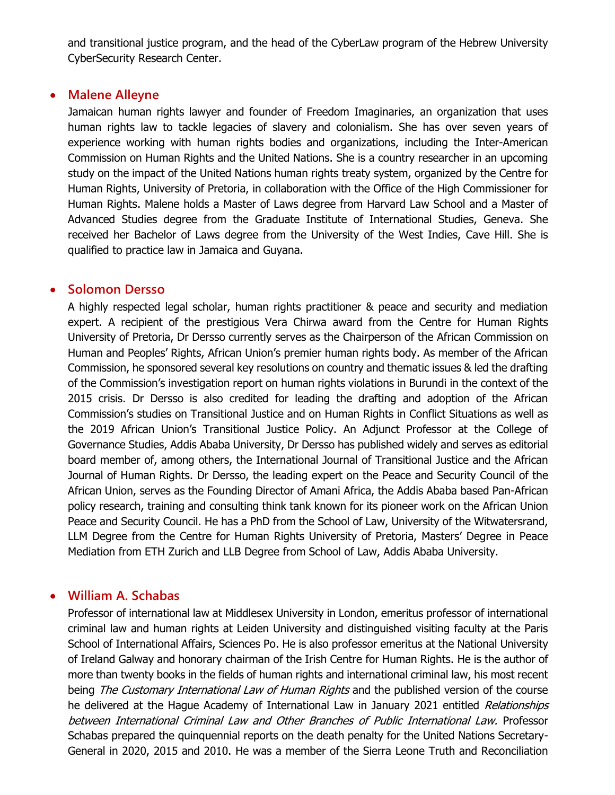and transitional justice program, and the head of the CyberLaw program of the Hebrew University CyberSecurity Research Center.

#### **Malene Alleyne**

Jamaican human rights lawyer and founder of Freedom Imaginaries, an organization that uses human rights law to tackle legacies of slavery and colonialism. She has over seven years of experience working with human rights bodies and organizations, including the Inter-American Commission on Human Rights and the United Nations. She is a country researcher in an upcoming study on the impact of the United Nations human rights treaty system, organized by the Centre for Human Rights, University of Pretoria, in collaboration with the Office of the High Commissioner for Human Rights. Malene holds a Master of Laws degree from Harvard Law School and a Master of Advanced Studies degree from the Graduate Institute of International Studies, Geneva. She received her Bachelor of Laws degree from the University of the West Indies, Cave Hill. She is qualified to practice law in Jamaica and Guyana.

#### **Solomon Dersso**

A highly respected legal scholar, human rights practitioner & peace and security and mediation expert. A recipient of the prestigious Vera Chirwa award from the Centre for Human Rights University of Pretoria, Dr Dersso currently serves as the Chairperson of the African Commission on Human and Peoples' Rights, African Union's premier human rights body. As member of the African Commission, he sponsored several key resolutions on country and thematic issues & led the drafting of the Commission's investigation report on human rights violations in Burundi in the context of the 2015 crisis. Dr Dersso is also credited for leading the drafting and adoption of the African Commission's studies on Transitional Justice and on Human Rights in Conflict Situations as well as the 2019 African Union's Transitional Justice Policy. An Adjunct Professor at the College of Governance Studies, Addis Ababa University, Dr Dersso has published widely and serves as editorial board member of, among others, the International Journal of Transitional Justice and the African Journal of Human Rights. Dr Dersso, the leading expert on the Peace and Security Council of the African Union, serves as the Founding Director of Amani Africa, the Addis Ababa based Pan-African policy research, training and consulting think tank known for its pioneer work on the African Union Peace and Security Council. He has a PhD from the School of Law, University of the Witwatersrand, LLM Degree from the Centre for Human Rights University of Pretoria, Masters' Degree in Peace Mediation from ETH Zurich and LLB Degree from School of Law, Addis Ababa University.

#### **William A. Schabas**

Professor of international law at Middlesex University in London, emeritus professor of international criminal law and human rights at Leiden University and distinguished visiting faculty at the Paris School of International Affairs, Sciences Po. He is also professor emeritus at the National University of Ireland Galway and honorary chairman of the Irish Centre for Human Rights. He is the author of more than twenty books in the fields of human rights and international criminal law, his most recent being The Customary International Law of Human Rights and the published version of the course he delivered at the Hague Academy of International Law in January 2021 entitled Relationships between International Criminal Law and Other Branches of Public International Law. Professor Schabas prepared the quinquennial reports on the death penalty for the United Nations Secretary-General in 2020, 2015 and 2010. He was a member of the Sierra Leone Truth and Reconciliation